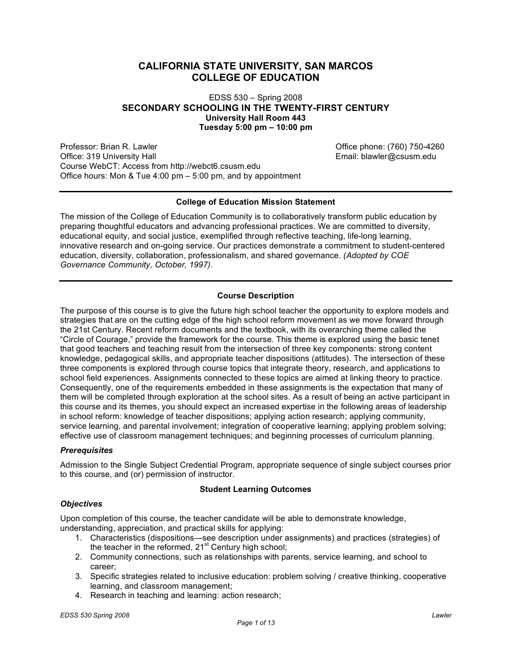# **CALIFORNIA STATE UNIVERSITY, SAN MARCOS COLLEGE OF EDUCATION**

EDSS 530 – Spring 2008 **SECONDARY SCHOOLING IN THE TWENTY-FIRST CENTURY University Hall Room 443 Tuesday 5:00 pm – 10:00 pm**

Professor: Brian R. Lawler Christian And Christian Control of Christian Office phone: (760) 750-4260 Office: 319 University Hall **Email: blawler@csusm.edu** Email: blawler@csusm.edu Course WebCT: Access from http://webct6.csusm.edu Office hours: Mon & Tue 4:00 pm – 5:00 pm, and by appointment

### **College of Education Mission Statement**

The mission of the College of Education Community is to collaboratively transform public education by preparing thoughtful educators and advancing professional practices. We are committed to diversity, educational equity, and social justice, exemplified through reflective teaching, life-long learning, innovative research and on-going service. Our practices demonstrate a commitment to student-centered education, diversity, collaboration, professionalism, and shared governance. *(Adopted by COE Governance Community, October, 1997).*

## **Course Description**

The purpose of this course is to give the future high school teacher the opportunity to explore models and strategies that are on the cutting edge of the high school reform movement as we move forward through the 21st Century. Recent reform documents and the textbook, with its overarching theme called the "Circle of Courage," provide the framework for the course. This theme is explored using the basic tenet that good teachers and teaching result from the intersection of three key components: strong content knowledge, pedagogical skills, and appropriate teacher dispositions (attitudes). The intersection of these three components is explored through course topics that integrate theory, research, and applications to school field experiences. Assignments connected to these topics are aimed at linking theory to practice. Consequently, one of the requirements embedded in these assignments is the expectation that many of them will be completed through exploration at the school sites. As a result of being an active participant in this course and its themes, you should expect an increased expertise in the following areas of leadership in school reform: knowledge of teacher dispositions; applying action research; applying community, service learning, and parental involvement; integration of cooperative learning; applying problem solving; effective use of classroom management techniques; and beginning processes of curriculum planning.

### *Prerequisites*

Admission to the Single Subject Credential Program, appropriate sequence of single subject courses prior to this course, and (or) permission of instructor.

### **Student Learning Outcomes**

### *Objectives*

Upon completion of this course, the teacher candidate will be able to demonstrate knowledge, understanding, appreciation, and practical skills for applying:

- 1. Characteristics (dispositions—see description under assignments) and practices (strategies) of the teacher in the reformed, 21<sup>st</sup> Century high school;
- 2. Community connections, such as relationships with parents, service learning, and school to career;
- 3. Specific strategies related to inclusive education: problem solving / creative thinking, cooperative learning, and classroom management;
- 4. Research in teaching and learning: action research;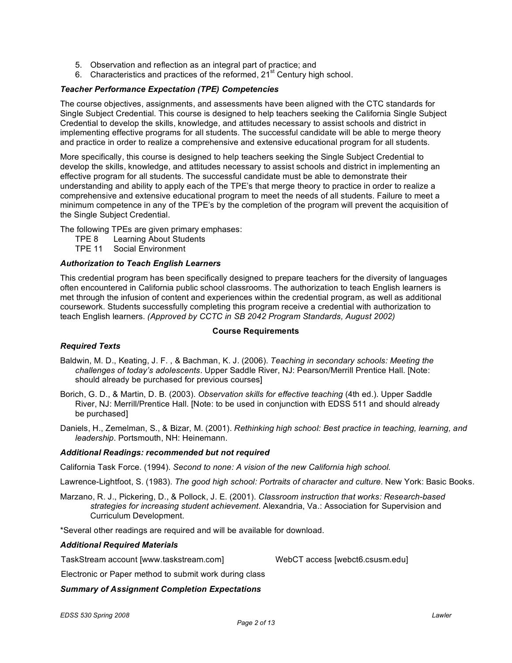- 5. Observation and reflection as an integral part of practice; and
- 6. Characteristics and practices of the reformed, 21<sup>st</sup> Century high school.

## *Teacher Performance Expectation (TPE) Competencies*

The course objectives, assignments, and assessments have been aligned with the CTC standards for Single Subject Credential. This course is designed to help teachers seeking the California Single Subject Credential to develop the skills, knowledge, and attitudes necessary to assist schools and district in implementing effective programs for all students. The successful candidate will be able to merge theory and practice in order to realize a comprehensive and extensive educational program for all students.

More specifically, this course is designed to help teachers seeking the Single Subject Credential to develop the skills, knowledge, and attitudes necessary to assist schools and district in implementing an effective program for all students. The successful candidate must be able to demonstrate their understanding and ability to apply each of the TPE's that merge theory to practice in order to realize a comprehensive and extensive educational program to meet the needs of all students. Failure to meet a minimum competence in any of the TPE's by the completion of the program will prevent the acquisition of the Single Subject Credential.

The following TPEs are given primary emphases:

- TPE 8 Learning About Students<br>TPE 11 Social Environment
- Social Environment

### *Authorization to Teach English Learners*

This credential program has been specifically designed to prepare teachers for the diversity of languages often encountered in California public school classrooms. The authorization to teach English learners is met through the infusion of content and experiences within the credential program, as well as additional coursework. Students successfully completing this program receive a credential with authorization to teach English learners. *(Approved by CCTC in SB 2042 Program Standards, August 2002)*

#### **Course Requirements**

### *Required Texts*

- Baldwin, M. D., Keating, J. F. , & Bachman, K. J. (2006). *Teaching in secondary schools: Meeting the challenges of today's adolescents*. Upper Saddle River, NJ: Pearson/Merrill Prentice Hall. [Note: should already be purchased for previous courses]
- Borich, G. D., & Martin, D. B. (2003). *Observation skills for effective teaching* (4th ed.). Upper Saddle River, NJ: Merrill/Prentice Hall. [Note: to be used in conjunction with EDSS 511 and should already be purchased]
- Daniels, H., Zemelman, S., & Bizar, M. (2001). *Rethinking high school: Best practice in teaching, learning, and leadership*. Portsmouth, NH: Heinemann.

### *Additional Readings: recommended but not required*

California Task Force. (1994). *Second to none: A vision of the new California high school.*

Lawrence-Lightfoot, S. (1983). *The good high school: Portraits of character and culture*. New York: Basic Books.

Marzano, R. J., Pickering, D., & Pollock, J. E. (2001). *Classroom instruction that works: Research-based strategies for increasing student achievement*. Alexandria, Va.: Association for Supervision and Curriculum Development.

\*Several other readings are required and will be available for download.

### *Additional Required Materials*

TaskStream account [www.taskstream.com] WebCT access [webct6.csusm.edu]

Electronic or Paper method to submit work during class

### *Summary of Assignment Completion Expectations*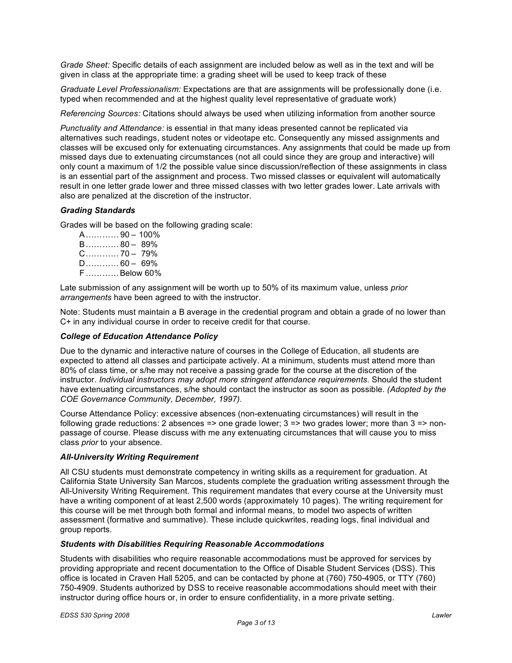*Grade Sheet:* Specific details of each assignment are included below as well as in the text and will be given in class at the appropriate time: a grading sheet will be used to keep track of these

*Graduate Level Professionalism:* Expectations are that are assignments will be professionally done (i.e. typed when recommended and at the highest quality level representative of graduate work)

*Referencing Sources:* Citations should always be used when utilizing information from another source

*Punctuality and Attendance:* is essential in that many ideas presented cannot be replicated via alternatives such readings, student notes or videotape etc. Consequently any missed assignments and classes will be excused only for extenuating circumstances. Any assignments that could be made up from missed days due to extenuating circumstances (not all could since they are group and interactive) will only count a maximum of 1/2 the possible value since discussion/reflection of these assignments in class is an essential part of the assignment and process. Two missed classes or equivalent will automatically result in one letter grade lower and three missed classes with two letter grades lower. Late arrivals with also are penalized at the discretion of the instructor.

### *Grading Standards*

Grades will be based on the following grading scale:

| A………… 90 – 100%                 |
|---------------------------------|
| $B$ 80 - 89%                    |
| $C_{\dots}, C_{\dots}$ 70 - 79% |
| $D$ 60 - 69%                    |
| F  Below 60%                    |

Late submission of any assignment will be worth up to 50% of its maximum value, unless *prior arrangements* have been agreed to with the instructor.

Note: Students must maintain a B average in the credential program and obtain a grade of no lower than C+ in any individual course in order to receive credit for that course.

#### *College of Education Attendance Policy*

Due to the dynamic and interactive nature of courses in the College of Education, all students are expected to attend all classes and participate actively. At a minimum, students must attend more than 80% of class time, or s/he may not receive a passing grade for the course at the discretion of the instructor. *Individual instructors may adopt more stringent attendance requirements*. Should the student have extenuating circumstances, s/he should contact the instructor as soon as possible. *(Adopted by the COE Governance Community, December, 1997).*

Course Attendance Policy: excessive absences (non-extenuating circumstances) will result in the following grade reductions: 2 absences => one grade lower;  $3 =$  two grades lower; more than  $3 =$  nonpassage of course. Please discuss with me any extenuating circumstances that will cause you to miss class *prior* to your absence.

#### *All-University Writing Requirement*

All CSU students must demonstrate competency in writing skills as a requirement for graduation. At California State University San Marcos, students complete the graduation writing assessment through the All-University Writing Requirement. This requirement mandates that every course at the University must have a writing component of at least 2,500 words (approximately 10 pages). The writing requirement for this course will be met through both formal and informal means, to model two aspects of written assessment (formative and summative). These include quickwrites, reading logs, final individual and group reports.

### *Students with Disabilities Requiring Reasonable Accommodations*

Students with disabilities who require reasonable accommodations must be approved for services by providing appropriate and recent documentation to the Office of Disable Student Services (DSS). This office is located in Craven Hall 5205, and can be contacted by phone at (760) 750-4905, or TTY (760) 750-4909. Students authorized by DSS to receive reasonable accommodations should meet with their instructor during office hours or, in order to ensure confidentiality, in a more private setting.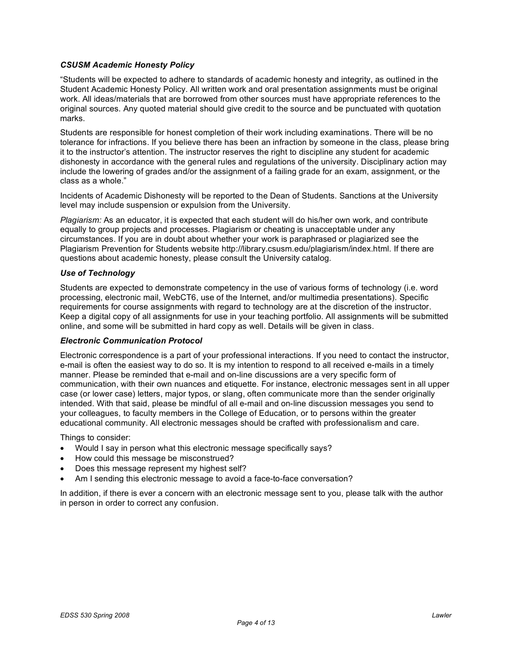## *CSUSM Academic Honesty Policy*

"Students will be expected to adhere to standards of academic honesty and integrity, as outlined in the Student Academic Honesty Policy. All written work and oral presentation assignments must be original work. All ideas/materials that are borrowed from other sources must have appropriate references to the original sources. Any quoted material should give credit to the source and be punctuated with quotation marks.

Students are responsible for honest completion of their work including examinations. There will be no tolerance for infractions. If you believe there has been an infraction by someone in the class, please bring it to the instructor's attention. The instructor reserves the right to discipline any student for academic dishonesty in accordance with the general rules and regulations of the university. Disciplinary action may include the lowering of grades and/or the assignment of a failing grade for an exam, assignment, or the class as a whole."

Incidents of Academic Dishonesty will be reported to the Dean of Students. Sanctions at the University level may include suspension or expulsion from the University.

*Plagiarism:* As an educator, it is expected that each student will do his/her own work, and contribute equally to group projects and processes. Plagiarism or cheating is unacceptable under any circumstances. If you are in doubt about whether your work is paraphrased or plagiarized see the Plagiarism Prevention for Students website http://library.csusm.edu/plagiarism/index.html. If there are questions about academic honesty, please consult the University catalog.

### *Use of Technology*

Students are expected to demonstrate competency in the use of various forms of technology (i.e. word processing, electronic mail, WebCT6, use of the Internet, and/or multimedia presentations). Specific requirements for course assignments with regard to technology are at the discretion of the instructor. Keep a digital copy of all assignments for use in your teaching portfolio. All assignments will be submitted online, and some will be submitted in hard copy as well. Details will be given in class.

### *Electronic Communication Protocol*

Electronic correspondence is a part of your professional interactions. If you need to contact the instructor, e-mail is often the easiest way to do so. It is my intention to respond to all received e-mails in a timely manner. Please be reminded that e-mail and on-line discussions are a very specific form of communication, with their own nuances and etiquette. For instance, electronic messages sent in all upper case (or lower case) letters, major typos, or slang, often communicate more than the sender originally intended. With that said, please be mindful of all e-mail and on-line discussion messages you send to your colleagues, to faculty members in the College of Education, or to persons within the greater educational community. All electronic messages should be crafted with professionalism and care.

Things to consider:

- Would I say in person what this electronic message specifically says?
- How could this message be misconstrued?
- Does this message represent my highest self?
- Am I sending this electronic message to avoid a face-to-face conversation?

In addition, if there is ever a concern with an electronic message sent to you, please talk with the author in person in order to correct any confusion.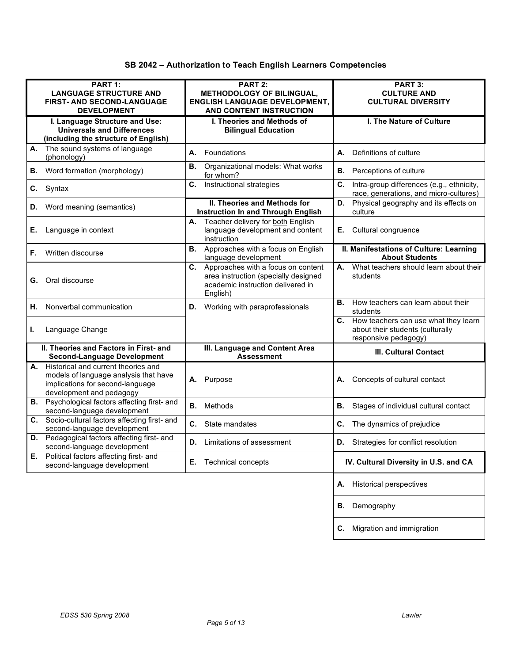| SB 2042 - Authorization to Teach English Learners Competencies |  |  |
|----------------------------------------------------------------|--|--|
|----------------------------------------------------------------|--|--|

| PART 1:                                                                          | PART 2:                                                                          | PART 3:                                                                                   |  |
|----------------------------------------------------------------------------------|----------------------------------------------------------------------------------|-------------------------------------------------------------------------------------------|--|
| <b>LANGUAGE STRUCTURE AND</b>                                                    | METHODOLOGY OF BILINGUAL,                                                        | <b>CULTURE AND</b>                                                                        |  |
| <b>FIRST- AND SECOND-LANGUAGE</b>                                                | <b>ENGLISH LANGUAGE DEVELOPMENT,</b>                                             | <b>CULTURAL DIVERSITY</b>                                                                 |  |
| <b>DEVELOPMENT</b>                                                               | AND CONTENT INSTRUCTION                                                          |                                                                                           |  |
| I. Language Structure and Use:                                                   | I. Theories and Methods of                                                       | <b>I. The Nature of Culture</b>                                                           |  |
| <b>Universals and Differences</b>                                                | <b>Bilingual Education</b>                                                       |                                                                                           |  |
| (including the structure of English)                                             |                                                                                  |                                                                                           |  |
| The sound systems of language<br>А.<br>(phonology)                               | Foundations<br>А.                                                                | Definitions of culture<br>А.                                                              |  |
| Word formation (morphology)<br>В.                                                | Organizational models: What works<br>В.<br>for whom?                             | <b>B.</b> Perceptions of culture                                                          |  |
| C.<br>Syntax                                                                     | Instructional strategies<br>C.                                                   | C.<br>Intra-group differences (e.g., ethnicity,<br>race, generations, and micro-cultures) |  |
| Word meaning (semantics)<br>D.                                                   | <b>II. Theories and Methods for</b><br><b>Instruction In and Through English</b> | Physical geography and its effects on<br>D.<br>culture                                    |  |
|                                                                                  | Teacher delivery for both English<br>А.                                          |                                                                                           |  |
| Language in context<br>Ε.                                                        | language development and content                                                 | <b>E.</b> Cultural congruence                                                             |  |
|                                                                                  | instruction                                                                      |                                                                                           |  |
| Written discourse<br>F.                                                          | <b>B.</b> Approaches with a focus on English<br>language development             | II. Manifestations of Culture: Learning<br><b>About Students</b>                          |  |
|                                                                                  | C. Approaches with a focus on content                                            | What teachers should learn about their<br>А.                                              |  |
| Oral discourse<br>G.                                                             | area instruction (specially designed                                             | students                                                                                  |  |
|                                                                                  | academic instruction delivered in                                                |                                                                                           |  |
|                                                                                  | English)                                                                         | How teachers can learn about their<br>В.                                                  |  |
| Nonverbal communication<br>Η.                                                    | <b>D.</b> Working with paraprofessionals                                         | students                                                                                  |  |
|                                                                                  |                                                                                  | C. How teachers can use what they learn                                                   |  |
| Language Change<br>L.                                                            |                                                                                  | about their students (culturally                                                          |  |
|                                                                                  |                                                                                  | responsive pedagogy)                                                                      |  |
| II. Theories and Factors in First- and<br><b>Second-Language Development</b>     | III. Language and Content Area<br><b>Assessment</b>                              | III. Cultural Contact                                                                     |  |
| A. Historical and current theories and                                           |                                                                                  |                                                                                           |  |
| models of language analysis that have                                            | A. Purpose                                                                       | Concepts of cultural contact<br>А.                                                        |  |
| implications for second-language                                                 |                                                                                  |                                                                                           |  |
| development and pedagogy<br><b>B.</b> Psychological factors affecting first- and |                                                                                  |                                                                                           |  |
| second-language development                                                      | Methods<br>В.                                                                    | В.<br>Stages of individual cultural contact                                               |  |
| Socio-cultural factors affecting first- and<br>C.                                |                                                                                  | The dynamics of prejudice                                                                 |  |
| second-language development                                                      | C. State mandates                                                                | C.                                                                                        |  |
| Pedagogical factors affecting first- and<br>D.<br>second-language development    | <b>D.</b> Limitations of assessment                                              | <b>D.</b> Strategies for conflict resolution                                              |  |
| Political factors affecting first- and<br>Е.<br>second-language development      | <b>Technical concepts</b><br>Е.                                                  | IV. Cultural Diversity in U.S. and CA                                                     |  |
|                                                                                  |                                                                                  |                                                                                           |  |
|                                                                                  |                                                                                  | A. Historical perspectives                                                                |  |
|                                                                                  |                                                                                  | Demography<br>В.                                                                          |  |
|                                                                                  |                                                                                  |                                                                                           |  |
|                                                                                  |                                                                                  | C. Migration and immigration                                                              |  |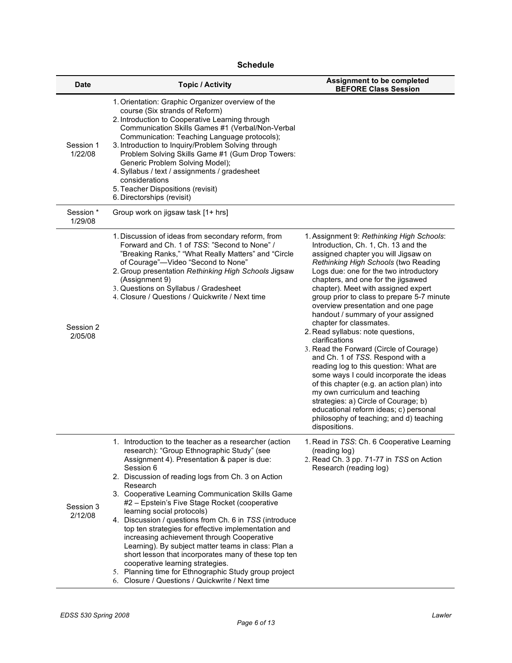| Schedule |
|----------|
|----------|

| <b>Date</b>          | <b>Topic / Activity</b>                                                                                                                                                                                                                                                                                                                                                                                                                                                                                                                                                                                                                                                                                                                                                                              | Assignment to be completed<br><b>BEFORE Class Session</b>                                                                                                                                                                                                                                                                                                                                                                                                                                                                                                                                                                                                                                                                                                                                                                                                                                           |
|----------------------|------------------------------------------------------------------------------------------------------------------------------------------------------------------------------------------------------------------------------------------------------------------------------------------------------------------------------------------------------------------------------------------------------------------------------------------------------------------------------------------------------------------------------------------------------------------------------------------------------------------------------------------------------------------------------------------------------------------------------------------------------------------------------------------------------|-----------------------------------------------------------------------------------------------------------------------------------------------------------------------------------------------------------------------------------------------------------------------------------------------------------------------------------------------------------------------------------------------------------------------------------------------------------------------------------------------------------------------------------------------------------------------------------------------------------------------------------------------------------------------------------------------------------------------------------------------------------------------------------------------------------------------------------------------------------------------------------------------------|
| Session 1<br>1/22/08 | 1. Orientation: Graphic Organizer overview of the<br>course (Six strands of Reform)<br>2. Introduction to Cooperative Learning through<br>Communication Skills Games #1 (Verbal/Non-Verbal<br>Communication: Teaching Language protocols);<br>3. Introduction to Inquiry/Problem Solving through<br>Problem Solving Skills Game #1 (Gum Drop Towers:<br>Generic Problem Solving Model);<br>4. Syllabus / text / assignments / gradesheet<br>considerations<br>5. Teacher Dispositions (revisit)<br>6. Directorships (revisit)                                                                                                                                                                                                                                                                        |                                                                                                                                                                                                                                                                                                                                                                                                                                                                                                                                                                                                                                                                                                                                                                                                                                                                                                     |
| Session *<br>1/29/08 | Group work on jigsaw task [1+ hrs]                                                                                                                                                                                                                                                                                                                                                                                                                                                                                                                                                                                                                                                                                                                                                                   |                                                                                                                                                                                                                                                                                                                                                                                                                                                                                                                                                                                                                                                                                                                                                                                                                                                                                                     |
| Session 2<br>2/05/08 | 1. Discussion of ideas from secondary reform, from<br>Forward and Ch. 1 of TSS: "Second to None" /<br>"Breaking Ranks," "What Really Matters" and "Circle<br>of Courage"-Video "Second to None"<br>2. Group presentation Rethinking High Schools Jigsaw<br>(Assignment 9)<br>3. Questions on Syllabus / Gradesheet<br>4. Closure / Questions / Quickwrite / Next time                                                                                                                                                                                                                                                                                                                                                                                                                                | 1. Assignment 9: Rethinking High Schools:<br>Introduction, Ch. 1, Ch. 13 and the<br>assigned chapter you will Jigsaw on<br>Rethinking High Schools (two Reading<br>Logs due: one for the two introductory<br>chapters, and one for the jigsawed<br>chapter). Meet with assigned expert<br>group prior to class to prepare 5-7 minute<br>overview presentation and one page<br>handout / summary of your assigned<br>chapter for classmates.<br>2. Read syllabus: note questions,<br>clarifications<br>3. Read the Forward (Circle of Courage)<br>and Ch. 1 of TSS. Respond with a<br>reading log to this question: What are<br>some ways I could incorporate the ideas<br>of this chapter (e.g. an action plan) into<br>my own curriculum and teaching<br>strategies: a) Circle of Courage; b)<br>educational reform ideas; c) personal<br>philosophy of teaching; and d) teaching<br>dispositions. |
| Session 3<br>2/12/08 | 1. Introduction to the teacher as a researcher (action<br>research): "Group Ethnographic Study" (see<br>Assignment 4). Presentation & paper is due:<br>Session 6<br>2. Discussion of reading logs from Ch. 3 on Action<br>Research<br>3. Cooperative Learning Communication Skills Game<br>#2 - Epstein's Five Stage Rocket (cooperative<br>learning social protocols)<br>4. Discussion / questions from Ch. 6 in TSS (introduce<br>top ten strategies for effective implementation and<br>increasing achievement through Cooperative<br>Learning). By subject matter teams in class: Plan a<br>short lesson that incorporates many of these top ten<br>cooperative learning strategies.<br>5. Planning time for Ethnographic Study group project<br>6. Closure / Questions / Quickwrite / Next time | 1. Read in TSS: Ch. 6 Cooperative Learning<br>(reading log)<br>2. Read Ch. 3 pp. 71-77 in TSS on Action<br>Research (reading log)                                                                                                                                                                                                                                                                                                                                                                                                                                                                                                                                                                                                                                                                                                                                                                   |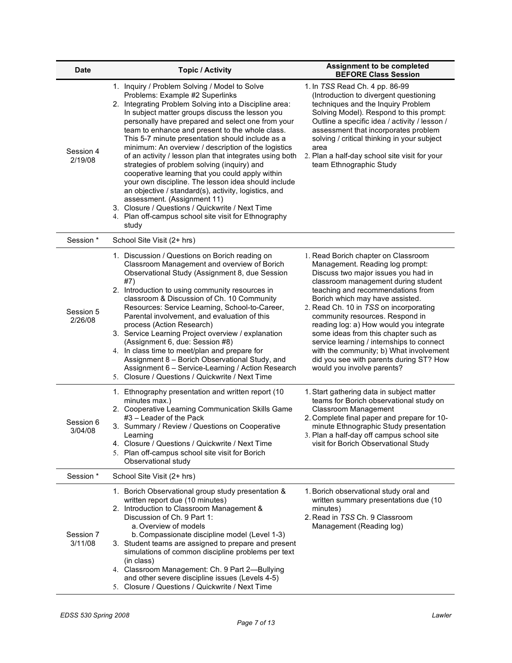| <b>Date</b>          | <b>Topic / Activity</b>                                                                                                                                                                                                                                                                                                                                                                                                                                                                                                                                                                                                                                                                                                                                                                                                                          | Assignment to be completed<br><b>BEFORE Class Session</b>                                                                                                                                                                                                                                                                                                                                                                                                                                                                                                     |  |  |
|----------------------|--------------------------------------------------------------------------------------------------------------------------------------------------------------------------------------------------------------------------------------------------------------------------------------------------------------------------------------------------------------------------------------------------------------------------------------------------------------------------------------------------------------------------------------------------------------------------------------------------------------------------------------------------------------------------------------------------------------------------------------------------------------------------------------------------------------------------------------------------|---------------------------------------------------------------------------------------------------------------------------------------------------------------------------------------------------------------------------------------------------------------------------------------------------------------------------------------------------------------------------------------------------------------------------------------------------------------------------------------------------------------------------------------------------------------|--|--|
| Session 4<br>2/19/08 | 1. Inquiry / Problem Solving / Model to Solve<br>Problems: Example #2 Superlinks<br>2. Integrating Problem Solving into a Discipline area:<br>In subject matter groups discuss the lesson you<br>personally have prepared and select one from your<br>team to enhance and present to the whole class.<br>This 5-7 minute presentation should include as a<br>minimum: An overview / description of the logistics<br>of an activity / lesson plan that integrates using both<br>strategies of problem solving (inquiry) and<br>cooperative learning that you could apply within<br>your own discipline. The lesson idea should include<br>an objective / standard(s), activity, logistics, and<br>assessment. (Assignment 11)<br>3. Closure / Questions / Quickwrite / Next Time<br>4. Plan off-campus school site visit for Ethnography<br>study | 1. In TSS Read Ch. 4 pp. 86-99<br>(Introduction to divergent questioning<br>techniques and the Inquiry Problem<br>Solving Model). Respond to this prompt:<br>Outline a specific idea / activity / lesson /<br>assessment that incorporates problem<br>solving / critical thinking in your subject<br>area<br>2. Plan a half-day school site visit for your<br>team Ethnographic Study                                                                                                                                                                         |  |  |
| Session*             | School Site Visit (2+ hrs)                                                                                                                                                                                                                                                                                                                                                                                                                                                                                                                                                                                                                                                                                                                                                                                                                       |                                                                                                                                                                                                                                                                                                                                                                                                                                                                                                                                                               |  |  |
| Session 5<br>2/26/08 | 1. Discussion / Questions on Borich reading on<br>Classroom Management and overview of Borich<br>Observational Study (Assignment 8, due Session<br>#7)<br>2. Introduction to using community resources in<br>classroom & Discussion of Ch. 10 Community<br>Resources: Service Learning, School-to-Career,<br>Parental involvement, and evaluation of this<br>process (Action Research)<br>3. Service Learning Project overview / explanation<br>(Assignment 6, due: Session #8)<br>4. In class time to meet/plan and prepare for<br>Assignment 8 - Borich Observational Study, and<br>Assignment 6 - Service-Learning / Action Research<br>5. Closure / Questions / Quickwrite / Next Time                                                                                                                                                       | 1. Read Borich chapter on Classroom<br>Management. Reading log prompt:<br>Discuss two major issues you had in<br>classroom management during student<br>teaching and recommendations from<br>Borich which may have assisted.<br>2. Read Ch. 10 in TSS on incorporating<br>community resources. Respond in<br>reading log: a) How would you integrate<br>some ideas from this chapter such as<br>service learning / internships to connect<br>with the community; b) What involvement<br>did you see with parents during ST? How<br>would you involve parents? |  |  |
| Session 6<br>3/04/08 | 1. Ethnography presentation and written report (10<br>minutes max.)<br>2. Cooperative Learning Communication Skills Game<br>#3 - Leader of the Pack<br>3. Summary / Review / Questions on Cooperative<br>Learning<br>4. Closure / Questions / Quickwrite / Next Time<br>5. Plan off-campus school site visit for Borich<br>Observational study                                                                                                                                                                                                                                                                                                                                                                                                                                                                                                   | 1. Start gathering data in subject matter<br>teams for Borich observational study on<br>Classroom Management<br>2. Complete final paper and prepare for 10-<br>minute Ethnographic Study presentation<br>3. Plan a half-day off campus school site<br>visit for Borich Observational Study                                                                                                                                                                                                                                                                    |  |  |
| Session*             | School Site Visit (2+ hrs)                                                                                                                                                                                                                                                                                                                                                                                                                                                                                                                                                                                                                                                                                                                                                                                                                       |                                                                                                                                                                                                                                                                                                                                                                                                                                                                                                                                                               |  |  |
| Session 7<br>3/11/08 | 1. Borich Observational group study presentation &<br>written report due (10 minutes)<br>2. Introduction to Classroom Management &<br>Discussion of Ch. 9 Part 1:<br>a. Overview of models<br>b. Compassionate discipline model (Level 1-3)<br>3. Student teams are assigned to prepare and present<br>simulations of common discipline problems per text<br>(in class)<br>4. Classroom Management: Ch. 9 Part 2-Bullying<br>and other severe discipline issues (Levels 4-5)<br>5. Closure / Questions / Quickwrite / Next Time                                                                                                                                                                                                                                                                                                                  | 1. Borich observational study oral and<br>written summary presentations due (10)<br>minutes)<br>2. Read in TSS Ch. 9 Classroom<br>Management (Reading log)                                                                                                                                                                                                                                                                                                                                                                                                    |  |  |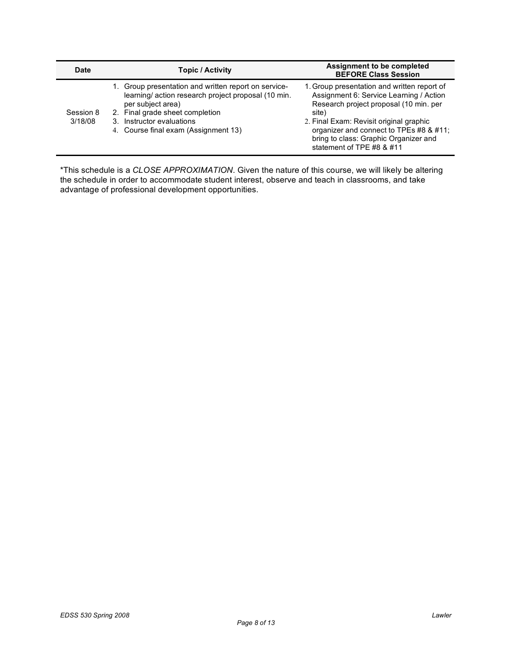| Date                    |                                                                                                                                                                                                                                         | <b>Assignment to be completed</b>                                                                                                                                                                                                                                                                     |  |  |
|-------------------------|-----------------------------------------------------------------------------------------------------------------------------------------------------------------------------------------------------------------------------------------|-------------------------------------------------------------------------------------------------------------------------------------------------------------------------------------------------------------------------------------------------------------------------------------------------------|--|--|
| <b>Topic / Activity</b> |                                                                                                                                                                                                                                         | <b>BEFORE Class Session</b>                                                                                                                                                                                                                                                                           |  |  |
| Session 8<br>3/18/08    | 1. Group presentation and written report on service-<br>learning/action research project proposal (10 min.<br>per subject area)<br>2. Final grade sheet completion<br>3. Instructor evaluations<br>4. Course final exam (Assignment 13) | 1. Group presentation and written report of<br>Assignment 6: Service Learning / Action<br>Research project proposal (10 min. per<br>site)<br>2. Final Exam: Revisit original graphic<br>organizer and connect to TPEs #8 & #11;<br>bring to class: Graphic Organizer and<br>statement of TPE #8 & #11 |  |  |

\*This schedule is a *CLOSE APPROXIMATION*. Given the nature of this course, we will likely be altering the schedule in order to accommodate student interest, observe and teach in classrooms, and take advantage of professional development opportunities.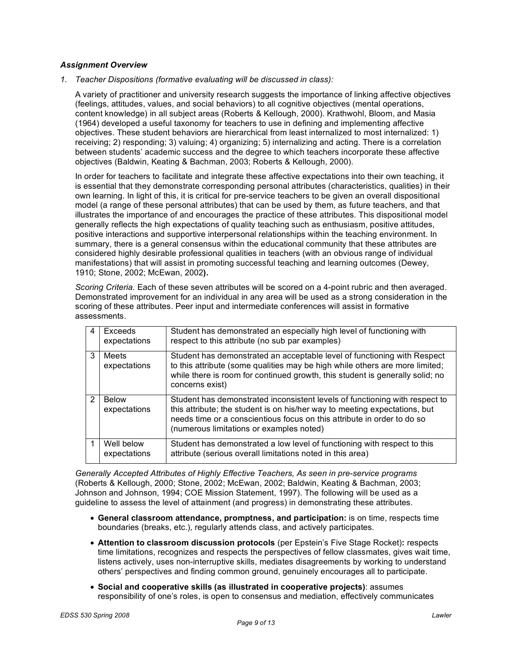## *Assignment Overview*

*1. Teacher Dispositions (formative evaluating will be discussed in class):*

A variety of practitioner and university research suggests the importance of linking affective objectives (feelings, attitudes, values, and social behaviors) to all cognitive objectives (mental operations, content knowledge) in all subject areas (Roberts & Kellough, 2000). Krathwohl, Bloom, and Masia (1964) developed a useful taxonomy for teachers to use in defining and implementing affective objectives. These student behaviors are hierarchical from least internalized to most internalized: 1) receiving; 2) responding; 3) valuing; 4) organizing; 5) internalizing and acting. There is a correlation between students' academic success and the degree to which teachers incorporate these affective objectives (Baldwin, Keating & Bachman, 2003; Roberts & Kellough, 2000).

In order for teachers to facilitate and integrate these affective expectations into their own teaching, it is essential that they demonstrate corresponding personal attributes (characteristics, qualities) in their own learning. In light of this, it is critical for pre-service teachers to be given an overall dispositional model (a range of these personal attributes) that can be used by them, as future teachers, and that illustrates the importance of and encourages the practice of these attributes. This dispositional model generally reflects the high expectations of quality teaching such as enthusiasm, positive attitudes, positive interactions and supportive interpersonal relationships within the teaching environment. In summary, there is a general consensus within the educational community that these attributes are considered highly desirable professional qualities in teachers (with an obvious range of individual manifestations) that will assist in promoting successful teaching and learning outcomes (Dewey, 1910; Stone, 2002; McEwan, 2002**).**

*Scoring Criteria.* Each of these seven attributes will be scored on a 4-point rubric and then averaged. Demonstrated improvement for an individual in any area will be used as a strong consideration in the scoring of these attributes. Peer input and intermediate conferences will assist in formative assessments.

| 4 | Exceeds<br>expectations    | Student has demonstrated an especially high level of functioning with<br>respect to this attribute (no sub par examples)                                                                                                                                                         |
|---|----------------------------|----------------------------------------------------------------------------------------------------------------------------------------------------------------------------------------------------------------------------------------------------------------------------------|
| 3 | Meets<br>expectations      | Student has demonstrated an acceptable level of functioning with Respect<br>to this attribute (some qualities may be high while others are more limited;<br>while there is room for continued growth, this student is generally solid; no<br>concerns exist)                     |
| 2 | Below<br>expectations      | Student has demonstrated inconsistent levels of functioning with respect to<br>this attribute; the student is on his/her way to meeting expectations, but<br>needs time or a conscientious focus on this attribute in order to do so<br>(numerous limitations or examples noted) |
|   | Well below<br>expectations | Student has demonstrated a low level of functioning with respect to this<br>attribute (serious overall limitations noted in this area)                                                                                                                                           |

*Generally Accepted Attributes of Highly Effective Teachers, As seen in pre-service programs* (Roberts & Kellough, 2000; Stone, 2002; McEwan, 2002; Baldwin, Keating & Bachman, 2003; Johnson and Johnson, 1994; COE Mission Statement, 1997). The following will be used as a guideline to assess the level of attainment (and progress) in demonstrating these attributes.

- **General classroom attendance, promptness, and participation:** is on time, respects time boundaries (breaks, etc.), regularly attends class, and actively participates.
- **Attention to classroom discussion protocols** (per Epstein's Five Stage Rocket)**:** respects time limitations, recognizes and respects the perspectives of fellow classmates, gives wait time, listens actively, uses non-interruptive skills, mediates disagreements by working to understand others' perspectives and finding common ground, genuinely encourages all to participate.
- **Social and cooperative skills (as illustrated in cooperative projects)**: assumes responsibility of one's roles, is open to consensus and mediation, effectively communicates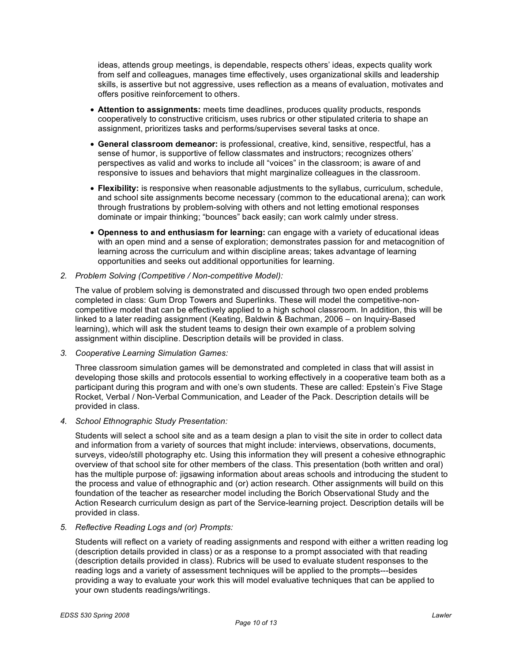ideas, attends group meetings, is dependable, respects others' ideas, expects quality work from self and colleagues, manages time effectively, uses organizational skills and leadership skills, is assertive but not aggressive, uses reflection as a means of evaluation, motivates and offers positive reinforcement to others.

- **Attention to assignments:** meets time deadlines, produces quality products, responds cooperatively to constructive criticism, uses rubrics or other stipulated criteria to shape an assignment, prioritizes tasks and performs/supervises several tasks at once.
- **General classroom demeanor:** is professional, creative, kind, sensitive, respectful, has a sense of humor, is supportive of fellow classmates and instructors; recognizes others' perspectives as valid and works to include all "voices" in the classroom; is aware of and responsive to issues and behaviors that might marginalize colleagues in the classroom.
- **Flexibility:** is responsive when reasonable adjustments to the syllabus, curriculum, schedule, and school site assignments become necessary (common to the educational arena); can work through frustrations by problem-solving with others and not letting emotional responses dominate or impair thinking; "bounces" back easily; can work calmly under stress.
- **Openness to and enthusiasm for learning:** can engage with a variety of educational ideas with an open mind and a sense of exploration; demonstrates passion for and metacognition of learning across the curriculum and within discipline areas; takes advantage of learning opportunities and seeks out additional opportunities for learning.
- *2. Problem Solving (Competitive / Non-competitive Model):*

The value of problem solving is demonstrated and discussed through two open ended problems completed in class: Gum Drop Towers and Superlinks. These will model the competitive-noncompetitive model that can be effectively applied to a high school classroom. In addition, this will be linked to a later reading assignment (Keating, Baldwin & Bachman, 2006 – on Inquiry-Based learning), which will ask the student teams to design their own example of a problem solving assignment within discipline. Description details will be provided in class.

*3. Cooperative Learning Simulation Games:*

Three classroom simulation games will be demonstrated and completed in class that will assist in developing those skills and protocols essential to working effectively in a cooperative team both as a participant during this program and with one's own students. These are called: Epstein's Five Stage Rocket, Verbal / Non-Verbal Communication, and Leader of the Pack. Description details will be provided in class.

*4. School Ethnographic Study Presentation:*

Students will select a school site and as a team design a plan to visit the site in order to collect data and information from a variety of sources that might include: interviews, observations, documents, surveys, video/still photography etc. Using this information they will present a cohesive ethnographic overview of that school site for other members of the class. This presentation (both written and oral) has the multiple purpose of: jigsawing information about areas schools and introducing the student to the process and value of ethnographic and (or) action research. Other assignments will build on this foundation of the teacher as researcher model including the Borich Observational Study and the Action Research curriculum design as part of the Service-learning project. Description details will be provided in class.

*5. Reflective Reading Logs and (or) Prompts:*

Students will reflect on a variety of reading assignments and respond with either a written reading log (description details provided in class) or as a response to a prompt associated with that reading (description details provided in class). Rubrics will be used to evaluate student responses to the reading logs and a variety of assessment techniques will be applied to the prompts---besides providing a way to evaluate your work this will model evaluative techniques that can be applied to your own students readings/writings.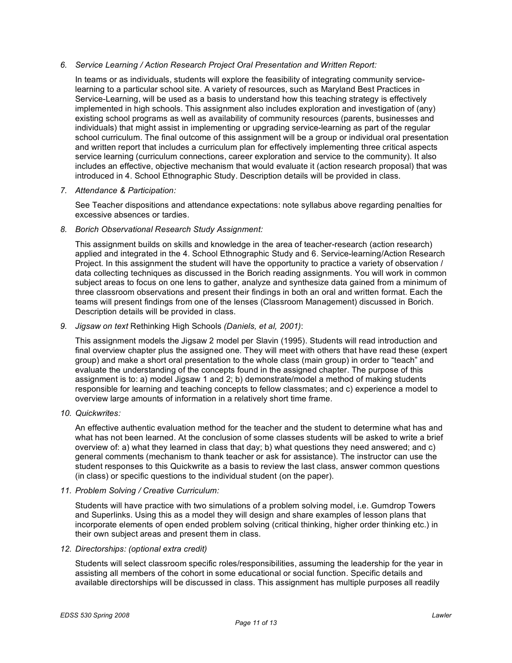### *6. Service Learning / Action Research Project Oral Presentation and Written Report:*

In teams or as individuals, students will explore the feasibility of integrating community servicelearning to a particular school site. A variety of resources, such as Maryland Best Practices in Service-Learning, will be used as a basis to understand how this teaching strategy is effectively implemented in high schools. This assignment also includes exploration and investigation of (any) existing school programs as well as availability of community resources (parents, businesses and individuals) that might assist in implementing or upgrading service-learning as part of the regular school curriculum. The final outcome of this assignment will be a group or individual oral presentation and written report that includes a curriculum plan for effectively implementing three critical aspects service learning (curriculum connections, career exploration and service to the community). It also includes an effective, objective mechanism that would evaluate it (action research proposal) that was introduced in 4. School Ethnographic Study. Description details will be provided in class.

### *7. Attendance & Participation:*

See Teacher dispositions and attendance expectations: note syllabus above regarding penalties for excessive absences or tardies.

## *8. Borich Observational Research Study Assignment:*

This assignment builds on skills and knowledge in the area of teacher-research (action research) applied and integrated in the 4. School Ethnographic Study and 6. Service-learning/Action Research Project. In this assignment the student will have the opportunity to practice a variety of observation / data collecting techniques as discussed in the Borich reading assignments. You will work in common subject areas to focus on one lens to gather, analyze and synthesize data gained from a minimum of three classroom observations and present their findings in both an oral and written format. Each the teams will present findings from one of the lenses (Classroom Management) discussed in Borich. Description details will be provided in class.

## *9. Jigsaw on text* Rethinking High Schools *(Daniels, et al, 2001)*:

This assignment models the Jigsaw 2 model per Slavin (1995). Students will read introduction and final overview chapter plus the assigned one. They will meet with others that have read these (expert group) and make a short oral presentation to the whole class (main group) in order to "teach" and evaluate the understanding of the concepts found in the assigned chapter. The purpose of this assignment is to: a) model Jigsaw 1 and 2; b) demonstrate/model a method of making students responsible for learning and teaching concepts to fellow classmates; and c) experience a model to overview large amounts of information in a relatively short time frame.

### *10. Quickwrites:*

An effective authentic evaluation method for the teacher and the student to determine what has and what has not been learned. At the conclusion of some classes students will be asked to write a brief overview of: a) what they learned in class that day; b) what questions they need answered; and c) general comments (mechanism to thank teacher or ask for assistance). The instructor can use the student responses to this Quickwrite as a basis to review the last class, answer common questions (in class) or specific questions to the individual student (on the paper).

### *11. Problem Solving / Creative Curriculum:*

Students will have practice with two simulations of a problem solving model, i.e. Gumdrop Towers and Superlinks. Using this as a model they will design and share examples of lesson plans that incorporate elements of open ended problem solving (critical thinking, higher order thinking etc.) in their own subject areas and present them in class.

### *12. Directorships: (optional extra credit)*

Students will select classroom specific roles/responsibilities, assuming the leadership for the year in assisting all members of the cohort in some educational or social function. Specific details and available directorships will be discussed in class. This assignment has multiple purposes all readily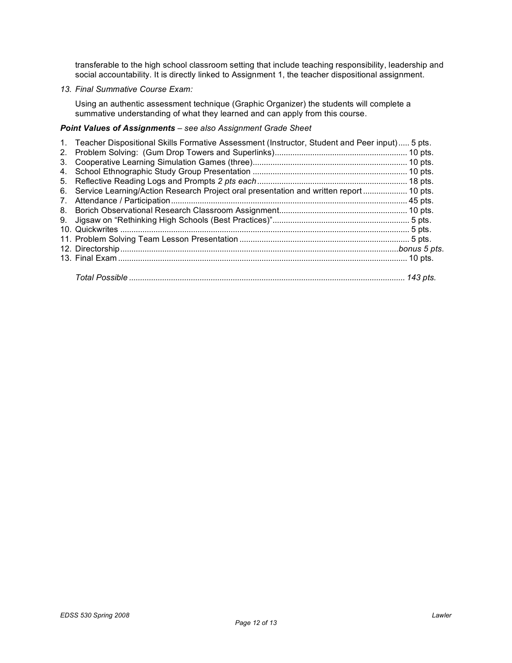transferable to the high school classroom setting that include teaching responsibility, leadership and social accountability. It is directly linked to Assignment 1, the teacher dispositional assignment.

## *13. Final Summative Course Exam:*

Using an authentic assessment technique (Graphic Organizer) the students will complete a summative understanding of what they learned and can apply from this course.

## *Point Values of Assignments – see also Assignment Grade Sheet*

|                | 1. Teacher Dispositional Skills Formative Assessment (Instructor, Student and Peer input) 5 pts. |  |
|----------------|--------------------------------------------------------------------------------------------------|--|
| 2 <sub>1</sub> |                                                                                                  |  |
| 3.             |                                                                                                  |  |
| 4.             |                                                                                                  |  |
|                |                                                                                                  |  |
| 6.             | Service Learning/Action Research Project oral presentation and written report  10 pts.           |  |
| 7.             |                                                                                                  |  |
|                |                                                                                                  |  |
|                |                                                                                                  |  |
|                |                                                                                                  |  |
|                |                                                                                                  |  |
|                |                                                                                                  |  |
|                |                                                                                                  |  |
|                |                                                                                                  |  |